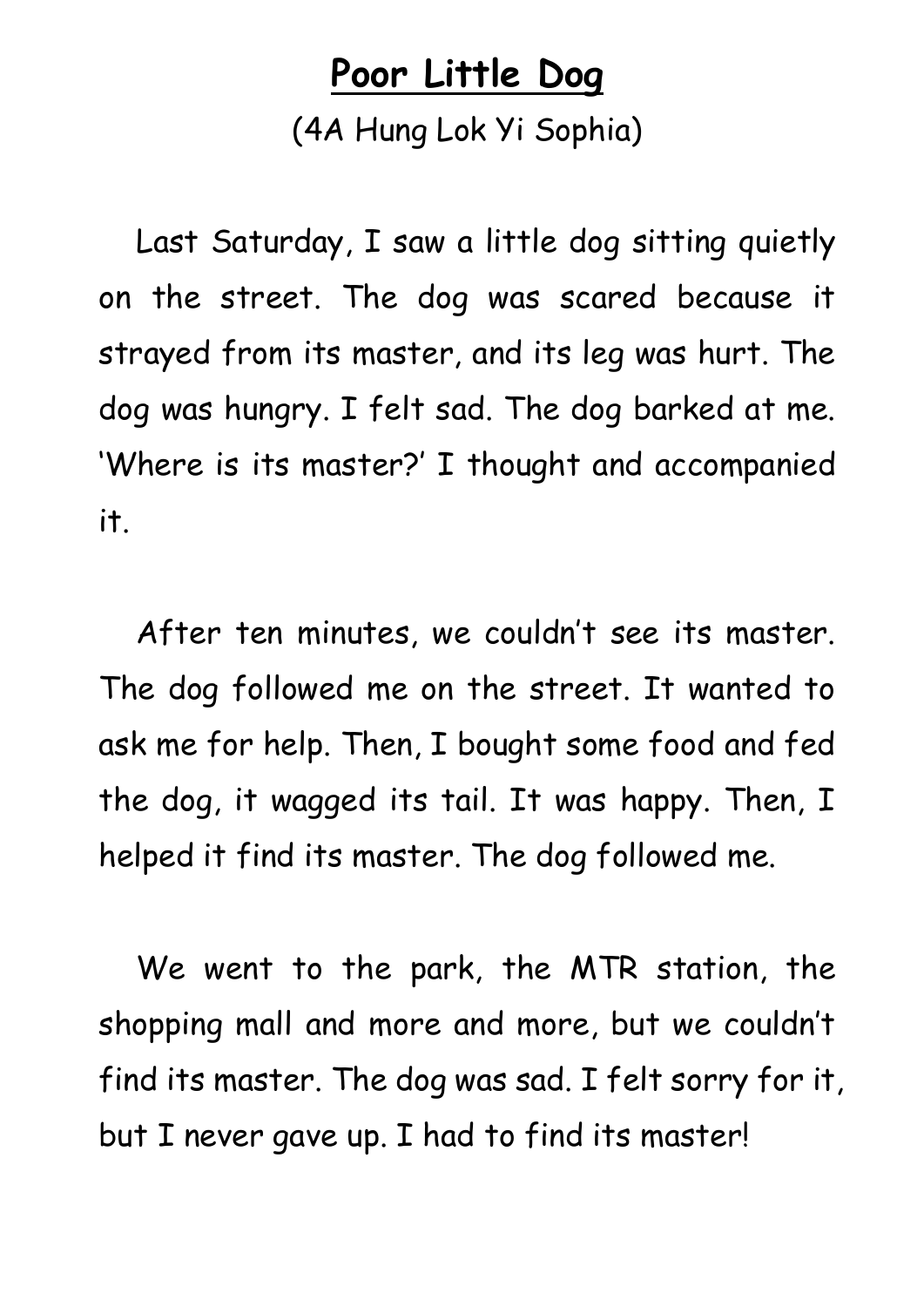## **Poor Little Dog**

(4A Hung Lok Yi Sophia)

Last Saturday, I saw a little dog sitting quietly on the street. The dog was scared because it strayed from its master, and its leg was hurt. The dog was hungry. I felt sad. The dog barked at me. 'Where is its master?' I thought and accompanied it.

After ten minutes, we couldn't see its master. The dog followed me on the street. It wanted to ask me for help. Then, I bought some food and fed the dog, it wagged its tail. It was happy. Then, I helped it find its master. The dog followed me.

We went to the park, the MTR station, the shopping mall and more and more, but we couldn't find its master. The dog was sad. I felt sorry for it, but I never gave up. I had to find its master!